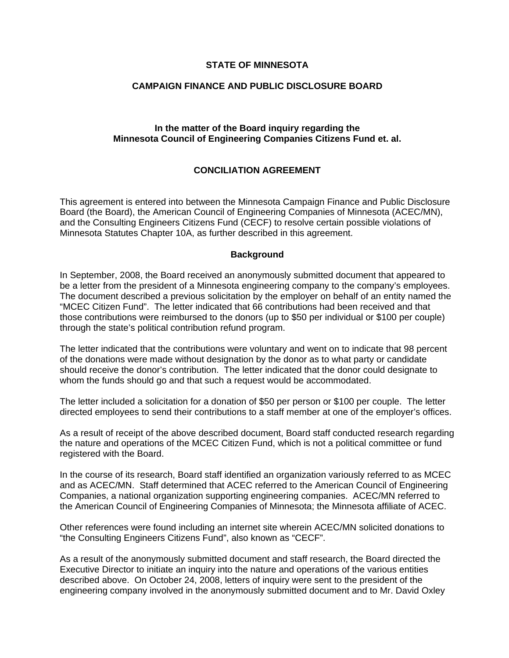## **STATE OF MINNESOTA**

#### **CAMPAIGN FINANCE AND PUBLIC DISCLOSURE BOARD**

## **In the matter of the Board inquiry regarding the Minnesota Council of Engineering Companies Citizens Fund et. al.**

# **CONCILIATION AGREEMENT**

This agreement is entered into between the Minnesota Campaign Finance and Public Disclosure Board (the Board), the American Council of Engineering Companies of Minnesota (ACEC/MN), and the Consulting Engineers Citizens Fund (CECF) to resolve certain possible violations of Minnesota Statutes Chapter 10A, as further described in this agreement.

#### **Background**

In September, 2008, the Board received an anonymously submitted document that appeared to be a letter from the president of a Minnesota engineering company to the company's employees. The document described a previous solicitation by the employer on behalf of an entity named the "MCEC Citizen Fund". The letter indicated that 66 contributions had been received and that those contributions were reimbursed to the donors (up to \$50 per individual or \$100 per couple) through the state's political contribution refund program.

The letter indicated that the contributions were voluntary and went on to indicate that 98 percent of the donations were made without designation by the donor as to what party or candidate should receive the donor's contribution. The letter indicated that the donor could designate to whom the funds should go and that such a request would be accommodated.

The letter included a solicitation for a donation of \$50 per person or \$100 per couple. The letter directed employees to send their contributions to a staff member at one of the employer's offices.

As a result of receipt of the above described document, Board staff conducted research regarding the nature and operations of the MCEC Citizen Fund, which is not a political committee or fund registered with the Board.

In the course of its research, Board staff identified an organization variously referred to as MCEC and as ACEC/MN. Staff determined that ACEC referred to the American Council of Engineering Companies, a national organization supporting engineering companies. ACEC/MN referred to the American Council of Engineering Companies of Minnesota; the Minnesota affiliate of ACEC.

Other references were found including an internet site wherein ACEC/MN solicited donations to "the Consulting Engineers Citizens Fund", also known as "CECF".

As a result of the anonymously submitted document and staff research, the Board directed the Executive Director to initiate an inquiry into the nature and operations of the various entities described above. On October 24, 2008, letters of inquiry were sent to the president of the engineering company involved in the anonymously submitted document and to Mr. David Oxley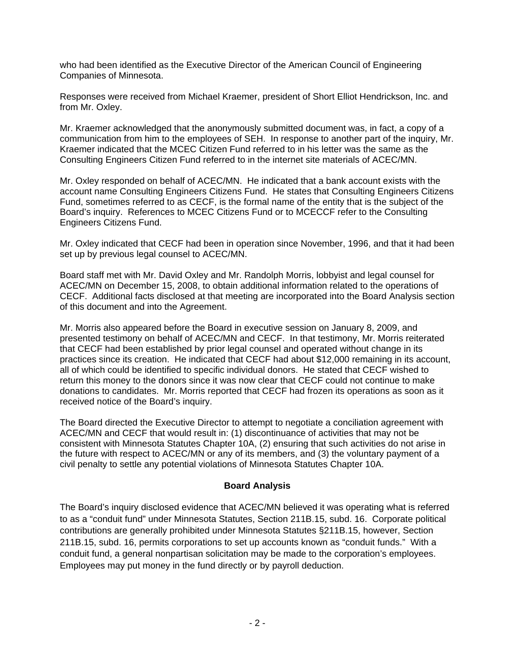who had been identified as the Executive Director of the American Council of Engineering Companies of Minnesota.

Responses were received from Michael Kraemer, president of Short Elliot Hendrickson, Inc. and from Mr. Oxley.

Mr. Kraemer acknowledged that the anonymously submitted document was, in fact, a copy of a communication from him to the employees of SEH. In response to another part of the inquiry, Mr. Kraemer indicated that the MCEC Citizen Fund referred to in his letter was the same as the Consulting Engineers Citizen Fund referred to in the internet site materials of ACEC/MN.

Mr. Oxley responded on behalf of ACEC/MN. He indicated that a bank account exists with the account name Consulting Engineers Citizens Fund. He states that Consulting Engineers Citizens Fund, sometimes referred to as CECF, is the formal name of the entity that is the subject of the Board's inquiry. References to MCEC Citizens Fund or to MCECCF refer to the Consulting Engineers Citizens Fund.

Mr. Oxley indicated that CECF had been in operation since November, 1996, and that it had been set up by previous legal counsel to ACEC/MN.

Board staff met with Mr. David Oxley and Mr. Randolph Morris, lobbyist and legal counsel for ACEC/MN on December 15, 2008, to obtain additional information related to the operations of CECF. Additional facts disclosed at that meeting are incorporated into the Board Analysis section of this document and into the Agreement.

Mr. Morris also appeared before the Board in executive session on January 8, 2009, and presented testimony on behalf of ACEC/MN and CECF. In that testimony, Mr. Morris reiterated that CECF had been established by prior legal counsel and operated without change in its practices since its creation. He indicated that CECF had about \$12,000 remaining in its account, all of which could be identified to specific individual donors. He stated that CECF wished to return this money to the donors since it was now clear that CECF could not continue to make donations to candidates. Mr. Morris reported that CECF had frozen its operations as soon as it received notice of the Board's inquiry.

The Board directed the Executive Director to attempt to negotiate a conciliation agreement with ACEC/MN and CECF that would result in: (1) discontinuance of activities that may not be consistent with Minnesota Statutes Chapter 10A, (2) ensuring that such activities do not arise in the future with respect to ACEC/MN or any of its members, and (3) the voluntary payment of a civil penalty to settle any potential violations of Minnesota Statutes Chapter 10A.

# **Board Analysis**

The Board's inquiry disclosed evidence that ACEC/MN believed it was operating what is referred to as a "conduit fund" under Minnesota Statutes, Section 211B.15, subd. 16. Corporate political contributions are generally prohibited under Minnesota Statutes §211B.15, however, Section 211B.15, subd. 16, permits corporations to set up accounts known as "conduit funds." With a conduit fund, a general nonpartisan solicitation may be made to the corporation's employees. Employees may put money in the fund directly or by payroll deduction.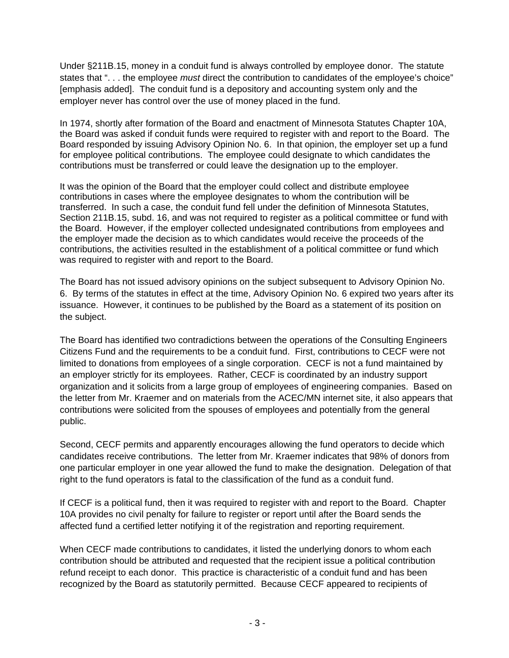Under §211B.15, money in a conduit fund is always controlled by employee donor. The statute states that ". . . the employee *must* direct the contribution to candidates of the employee's choice" [emphasis added]. The conduit fund is a depository and accounting system only and the employer never has control over the use of money placed in the fund.

In 1974, shortly after formation of the Board and enactment of Minnesota Statutes Chapter 10A, the Board was asked if conduit funds were required to register with and report to the Board. The Board responded by issuing Advisory Opinion No. 6. In that opinion, the employer set up a fund for employee political contributions. The employee could designate to which candidates the contributions must be transferred or could leave the designation up to the employer.

It was the opinion of the Board that the employer could collect and distribute employee contributions in cases where the employee designates to whom the contribution will be transferred. In such a case, the conduit fund fell under the definition of Minnesota Statutes, Section 211B.15, subd. 16, and was not required to register as a political committee or fund with the Board. However, if the employer collected undesignated contributions from employees and the employer made the decision as to which candidates would receive the proceeds of the contributions, the activities resulted in the establishment of a political committee or fund which was required to register with and report to the Board.

The Board has not issued advisory opinions on the subject subsequent to Advisory Opinion No. 6. By terms of the statutes in effect at the time, Advisory Opinion No. 6 expired two years after its issuance. However, it continues to be published by the Board as a statement of its position on the subject.

The Board has identified two contradictions between the operations of the Consulting Engineers Citizens Fund and the requirements to be a conduit fund. First, contributions to CECF were not limited to donations from employees of a single corporation. CECF is not a fund maintained by an employer strictly for its employees. Rather, CECF is coordinated by an industry support organization and it solicits from a large group of employees of engineering companies. Based on the letter from Mr. Kraemer and on materials from the ACEC/MN internet site, it also appears that contributions were solicited from the spouses of employees and potentially from the general public.

Second, CECF permits and apparently encourages allowing the fund operators to decide which candidates receive contributions. The letter from Mr. Kraemer indicates that 98% of donors from one particular employer in one year allowed the fund to make the designation. Delegation of that right to the fund operators is fatal to the classification of the fund as a conduit fund.

If CECF is a political fund, then it was required to register with and report to the Board. Chapter 10A provides no civil penalty for failure to register or report until after the Board sends the affected fund a certified letter notifying it of the registration and reporting requirement.

When CECF made contributions to candidates, it listed the underlying donors to whom each contribution should be attributed and requested that the recipient issue a political contribution refund receipt to each donor. This practice is characteristic of a conduit fund and has been recognized by the Board as statutorily permitted. Because CECF appeared to recipients of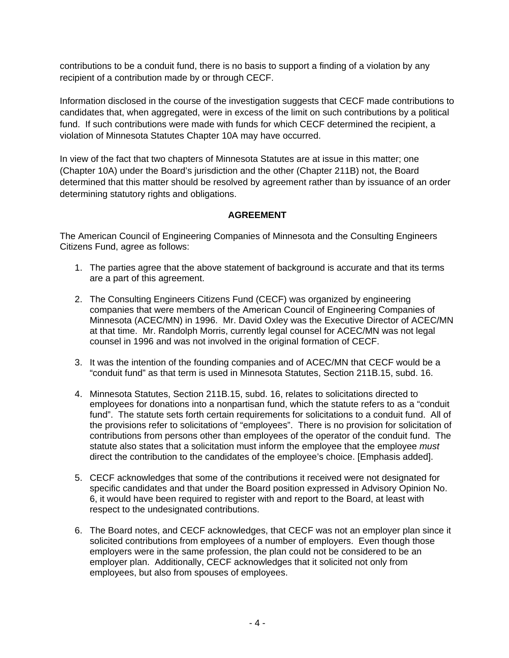contributions to be a conduit fund, there is no basis to support a finding of a violation by any recipient of a contribution made by or through CECF.

Information disclosed in the course of the investigation suggests that CECF made contributions to candidates that, when aggregated, were in excess of the limit on such contributions by a political fund. If such contributions were made with funds for which CECF determined the recipient, a violation of Minnesota Statutes Chapter 10A may have occurred.

In view of the fact that two chapters of Minnesota Statutes are at issue in this matter; one (Chapter 10A) under the Board's jurisdiction and the other (Chapter 211B) not, the Board determined that this matter should be resolved by agreement rather than by issuance of an order determining statutory rights and obligations.

# **AGREEMENT**

The American Council of Engineering Companies of Minnesota and the Consulting Engineers Citizens Fund, agree as follows:

- 1. The parties agree that the above statement of background is accurate and that its terms are a part of this agreement.
- 2. The Consulting Engineers Citizens Fund (CECF) was organized by engineering companies that were members of the American Council of Engineering Companies of Minnesota (ACEC/MN) in 1996. Mr. David Oxley was the Executive Director of ACEC/MN at that time. Mr. Randolph Morris, currently legal counsel for ACEC/MN was not legal counsel in 1996 and was not involved in the original formation of CECF.
- 3. It was the intention of the founding companies and of ACEC/MN that CECF would be a "conduit fund" as that term is used in Minnesota Statutes, Section 211B.15, subd. 16.
- 4. Minnesota Statutes, Section 211B.15, subd. 16, relates to solicitations directed to employees for donations into a nonpartisan fund, which the statute refers to as a "conduit fund". The statute sets forth certain requirements for solicitations to a conduit fund. All of the provisions refer to solicitations of "employees". There is no provision for solicitation of contributions from persons other than employees of the operator of the conduit fund. The statute also states that a solicitation must inform the employee that the employee *must*  direct the contribution to the candidates of the employee's choice. [Emphasis added].
- 5. CECF acknowledges that some of the contributions it received were not designated for specific candidates and that under the Board position expressed in Advisory Opinion No. 6, it would have been required to register with and report to the Board, at least with respect to the undesignated contributions.
- 6. The Board notes, and CECF acknowledges, that CECF was not an employer plan since it solicited contributions from employees of a number of employers. Even though those employers were in the same profession, the plan could not be considered to be an employer plan. Additionally, CECF acknowledges that it solicited not only from employees, but also from spouses of employees.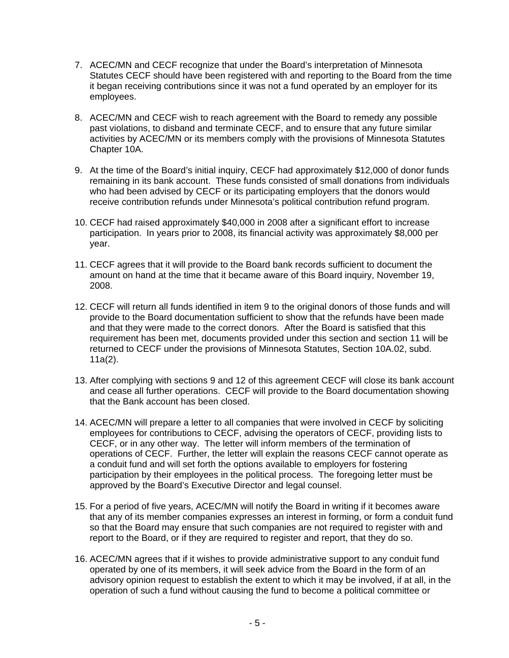- 7. ACEC/MN and CECF recognize that under the Board's interpretation of Minnesota Statutes CECF should have been registered with and reporting to the Board from the time it began receiving contributions since it was not a fund operated by an employer for its employees.
- 8. ACEC/MN and CECF wish to reach agreement with the Board to remedy any possible past violations, to disband and terminate CECF, and to ensure that any future similar activities by ACEC/MN or its members comply with the provisions of Minnesota Statutes Chapter 10A.
- 9. At the time of the Board's initial inquiry, CECF had approximately \$12,000 of donor funds remaining in its bank account. These funds consisted of small donations from individuals who had been advised by CECF or its participating employers that the donors would receive contribution refunds under Minnesota's political contribution refund program.
- 10. CECF had raised approximately \$40,000 in 2008 after a significant effort to increase participation. In years prior to 2008, its financial activity was approximately \$8,000 per year.
- 11. CECF agrees that it will provide to the Board bank records sufficient to document the amount on hand at the time that it became aware of this Board inquiry, November 19, 2008.
- 12. CECF will return all funds identified in item 9 to the original donors of those funds and will provide to the Board documentation sufficient to show that the refunds have been made and that they were made to the correct donors. After the Board is satisfied that this requirement has been met, documents provided under this section and section 11 will be returned to CECF under the provisions of Minnesota Statutes, Section 10A.02, subd. 11a(2).
- 13. After complying with sections 9 and 12 of this agreement CECF will close its bank account and cease all further operations. CECF will provide to the Board documentation showing that the Bank account has been closed.
- 14. ACEC/MN will prepare a letter to all companies that were involved in CECF by soliciting employees for contributions to CECF, advising the operators of CECF, providing lists to CECF, or in any other way. The letter will inform members of the termination of operations of CECF. Further, the letter will explain the reasons CECF cannot operate as a conduit fund and will set forth the options available to employers for fostering participation by their employees in the political process. The foregoing letter must be approved by the Board's Executive Director and legal counsel.
- 15. For a period of five years, ACEC/MN will notify the Board in writing if it becomes aware that any of its member companies expresses an interest in forming, or form a conduit fund so that the Board may ensure that such companies are not required to register with and report to the Board, or if they are required to register and report, that they do so.
- 16. ACEC/MN agrees that if it wishes to provide administrative support to any conduit fund operated by one of its members, it will seek advice from the Board in the form of an advisory opinion request to establish the extent to which it may be involved, if at all, in the operation of such a fund without causing the fund to become a political committee or